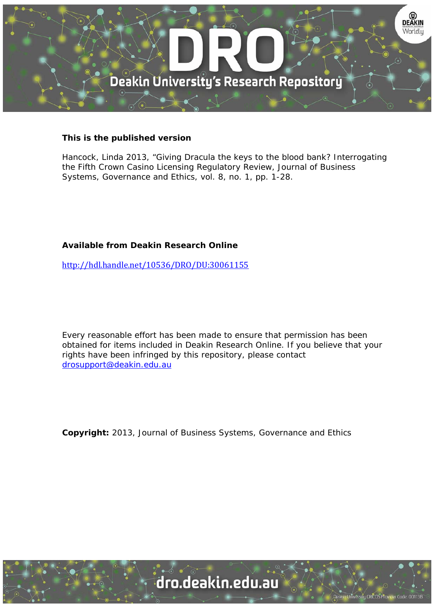

#### **This is the published version**

Hancock, Linda 2013, "Giving Dracula the keys to the blood bank? Interrogating the Fifth Crown Casino Licensing Regulatory Review, Journal of Business Systems, Governance and Ethics, vol. 8, no. 1, pp. 1-28.

### **Available from Deakin Research Online**

http://hdl.handle.net/10536/DRO/DU:30061155

Every reasonable effort has been made to ensure that permission has been obtained for items included in Deakin Research Online. If you believe that your rights have been infringed by this repository, please contact drosupport@deakin.edu.au

**Copyright:** 2013, Journal of Business Systems, Governance and Ethics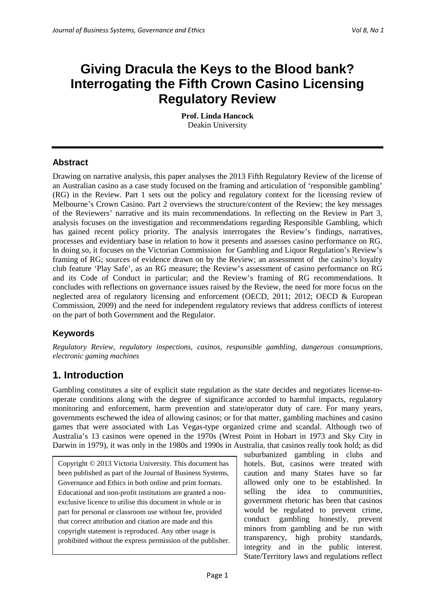# **Giving Dracula the Keys to the Blood bank? Interrogating the Fifth Crown Casino Licensing Regulatory Review**

**Prof. Linda Hancock**  Deakin University

### **Abstract**

Drawing on narrative analysis, this paper analyses the 2013 Fifth Regulatory Review of the license of an Australian casino as a case study focused on the framing and articulation of 'responsible gambling' (RG) in the Review. Part 1 sets out the policy and regulatory context for the licensing review of Melbourne's Crown Casino. Part 2 overviews the structure/content of the Review; the key messages of the Reviewers' narrative and its main recommendations. In reflecting on the Review in Part 3, analysis focuses on the investigation and recommendations regarding Responsible Gambling, which has gained recent policy priority. The analysis interrogates the Review's findings, narratives, processes and evidentiary base in relation to how it presents and assesses casino performance on RG. In doing so, it focuses on the Victorian Commission for Gambling and Liquor Regulation's Review's framing of RG; sources of evidence drawn on by the Review; an assessment of the casino's loyalty club feature 'Play Safe', as an RG measure; the Review's assessment of casino performance on RG and its Code of Conduct in particular; and the Review's framing of RG recommendations. It concludes with reflections on governance issues raised by the Review, the need for more focus on the neglected area of regulatory licensing and enforcement (OECD, 2011; 2012; OECD & European Commission, 2009) and the need for independent regulatory reviews that address conflicts of interest on the part of both Government and the Regulator.

### **Keywords**

*Regulatory Review, regulatory inspections, casinos, responsible gambling, dangerous consumptions, electronic gaming machines*

# **1. Introduction**

Gambling constitutes a site of explicit state regulation as the state decides and negotiates license-tooperate conditions along with the degree of significance accorded to harmful impacts, regulatory monitoring and enforcement, harm prevention and state/operator duty of care. For many years, governments eschewed the idea of allowing casinos; or for that matter, gambling machines and casino games that were associated with Las Vegas-type organized crime and scandal. Although two of Australia's 13 casinos were opened in the 1970s (Wrest Point in Hobart in 1973 and Sky City in Darwin in 1979), it was only in the 1980s and 1990s in Australia, that casinos really took hold; as did

Copyright © 2013 Victoria University. This document has been published as part of the Journal of Business Systems, Governance and Ethics in both online and print formats. Educational and non-profit institutions are granted a nonexclusive licence to utilise this document in whole or in part for personal or classroom use without fee, provided that correct attribution and citation are made and this copyright statement is reproduced. Any other usage is prohibited without the express permission of the publisher. suburbanized gambling in clubs and hotels. But, casinos were treated with caution and many States have so far allowed only one to be established. In selling the idea to communities, government rhetoric has been that casinos would be regulated to prevent crime, conduct gambling honestly, prevent minors from gambling and be run with transparency, high probity standards, integrity and in the public interest. State/Territory laws and regulations reflect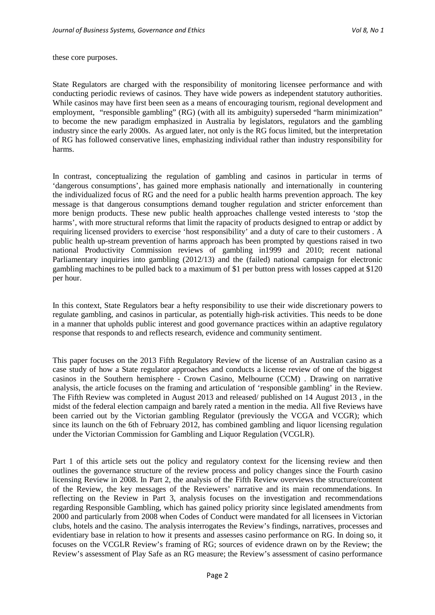these core purposes.

State Regulators are charged with the responsibility of monitoring licensee performance and with conducting periodic reviews of casinos. They have wide powers as independent statutory authorities. While casinos may have first been seen as a means of encouraging tourism, regional development and employment, "responsible gambling" (RG) (with all its ambiguity) superseded "harm minimization" to become the new paradigm emphasized in Australia by legislators, regulators and the gambling industry since the early 2000s. As argued later, not only is the RG focus limited, but the interpretation of RG has followed conservative lines, emphasizing individual rather than industry responsibility for harms.

In contrast, conceptualizing the regulation of gambling and casinos in particular in terms of 'dangerous consumptions', has gained more emphasis nationally and internationally in countering the individualized focus of RG and the need for a public health harms prevention approach. The key message is that dangerous consumptions demand tougher regulation and stricter enforcement than more benign products. These new public health approaches challenge vested interests to 'stop the harms', with more structural reforms that limit the rapacity of products designed to entrap or addict by requiring licensed providers to exercise 'host responsibility' and a duty of care to their customers . A public health up-stream prevention of harms approach has been prompted by questions raised in two national Productivity Commission reviews of gambling in1999 and 2010; recent national Parliamentary inquiries into gambling (2012/13) and the (failed) national campaign for electronic gambling machines to be pulled back to a maximum of \$1 per button press with losses capped at \$120 per hour.

In this context, State Regulators bear a hefty responsibility to use their wide discretionary powers to regulate gambling, and casinos in particular, as potentially high-risk activities. This needs to be done in a manner that upholds public interest and good governance practices within an adaptive regulatory response that responds to and reflects research, evidence and community sentiment.

This paper focuses on the 2013 Fifth Regulatory Review of the license of an Australian casino as a case study of how a State regulator approaches and conducts a license review of one of the biggest casinos in the Southern hemisphere - Crown Casino, Melbourne (CCM) . Drawing on narrative analysis, the article focuses on the framing and articulation of 'responsible gambling' in the Review. The Fifth Review was completed in August 2013 and released/ published on 14 August 2013 , in the midst of the federal election campaign and barely rated a mention in the media. All five Reviews have been carried out by the Victorian gambling Regulator (previously the VCGA and VCGR); which since its launch on the 6th of February 2012, has combined gambling and liquor licensing regulation under the Victorian Commission for Gambling and Liquor Regulation (VCGLR).

Part 1 of this article sets out the policy and regulatory context for the licensing review and then outlines the governance structure of the review process and policy changes since the Fourth casino licensing Review in 2008. In Part 2, the analysis of the Fifth Review overviews the structure/content of the Review, the key messages of the Reviewers' narrative and its main recommendations. In reflecting on the Review in Part 3, analysis focuses on the investigation and recommendations regarding Responsible Gambling, which has gained policy priority since legislated amendments from 2000 and particularly from 2008 when Codes of Conduct were mandated for all licensees in Victorian clubs, hotels and the casino. The analysis interrogates the Review's findings, narratives, processes and evidentiary base in relation to how it presents and assesses casino performance on RG. In doing so, it focuses on the VCGLR Review's framing of RG; sources of evidence drawn on by the Review; the Review's assessment of Play Safe as an RG measure; the Review's assessment of casino performance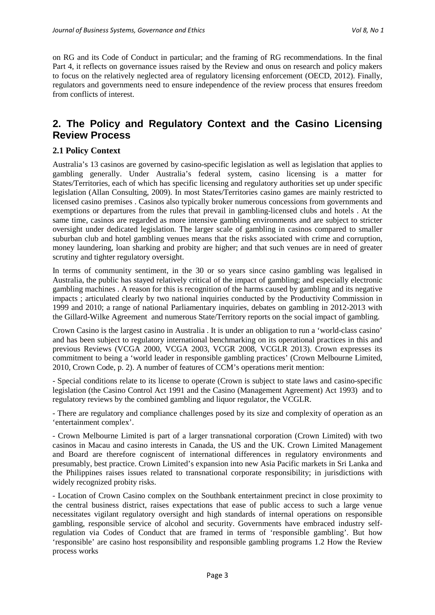on RG and its Code of Conduct in particular; and the framing of RG recommendations. In the final Part 4, it reflects on governance issues raised by the Review and onus on research and policy makers to focus on the relatively neglected area of regulatory licensing enforcement (OECD, 2012). Finally, regulators and governments need to ensure independence of the review process that ensures freedom from conflicts of interest.

# **2. The Policy and Regulatory Context and the Casino Licensing Review Process**

#### **2.1 Policy Context**

Australia's 13 casinos are governed by casino-specific legislation as well as legislation that applies to gambling generally. Under Australia's federal system, casino licensing is a matter for States/Territories, each of which has specific licensing and regulatory authorities set up under specific legislation (Allan Consulting, 2009). In most States/Territories casino games are mainly restricted to licensed casino premises . Casinos also typically broker numerous concessions from governments and exemptions or departures from the rules that prevail in gambling-licensed clubs and hotels . At the same time, casinos are regarded as more intensive gambling environments and are subject to stricter oversight under dedicated legislation. The larger scale of gambling in casinos compared to smaller suburban club and hotel gambling venues means that the risks associated with crime and corruption, money laundering, loan sharking and probity are higher; and that such venues are in need of greater scrutiny and tighter regulatory oversight.

In terms of community sentiment, in the 30 or so years since casino gambling was legalised in Australia, the public has stayed relatively critical of the impact of gambling; and especially electronic gambling machines . A reason for this is recognition of the harms caused by gambling and its negative impacts ; articulated clearly by two national inquiries conducted by the Productivity Commission in 1999 and 2010; a range of national Parliamentary inquiries, debates on gambling in 2012-2013 with the Gillard-Wilke Agreement and numerous State/Territory reports on the social impact of gambling.

Crown Casino is the largest casino in Australia . It is under an obligation to run a 'world-class casino' and has been subject to regulatory international benchmarking on its operational practices in this and previous Reviews (VCGA 2000, VCGA 2003, VCGR 2008, VCGLR 2013). Crown expresses its commitment to being a 'world leader in responsible gambling practices' (Crown Melbourne Limited, 2010, Crown Code, p. 2). A number of features of CCM's operations merit mention:

- Special conditions relate to its license to operate (Crown is subject to state laws and casino-specific legislation (the Casino Control Act 1991 and the Casino (Management Agreement) Act 1993) and to regulatory reviews by the combined gambling and liquor regulator, the VCGLR.

- There are regulatory and compliance challenges posed by its size and complexity of operation as an 'entertainment complex'.

- Crown Melbourne Limited is part of a larger transnational corporation (Crown Limited) with two casinos in Macau and casino interests in Canada, the US and the UK. Crown Limited Management and Board are therefore cogniscent of international differences in regulatory environments and presumably, best practice. Crown Limited's expansion into new Asia Pacific markets in Sri Lanka and the Philippines raises issues related to transnational corporate responsibility; in jurisdictions with widely recognized probity risks.

- Location of Crown Casino complex on the Southbank entertainment precinct in close proximity to the central business district, raises expectations that ease of public access to such a large venue necessitates vigilant regulatory oversight and high standards of internal operations on responsible gambling, responsible service of alcohol and security. Governments have embraced industry selfregulation via Codes of Conduct that are framed in terms of 'responsible gambling'. But how 'responsible' are casino host responsibility and responsible gambling programs 1.2 How the Review process works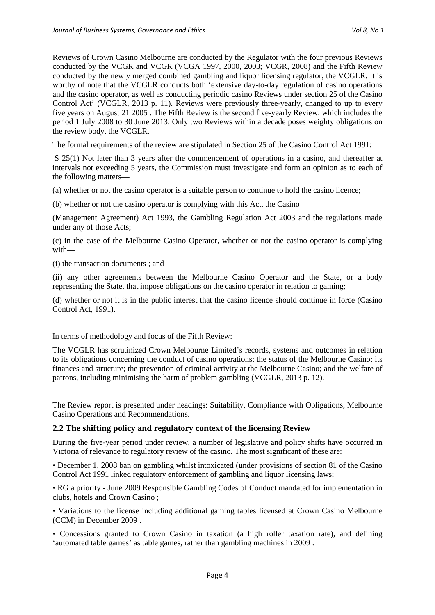Reviews of Crown Casino Melbourne are conducted by the Regulator with the four previous Reviews conducted by the VCGR and VCGR (VCGA 1997, 2000, 2003; VCGR, 2008) and the Fifth Review conducted by the newly merged combined gambling and liquor licensing regulator, the VCGLR. It is worthy of note that the VCGLR conducts both 'extensive day-to-day regulation of casino operations and the casino operator, as well as conducting periodic casino Reviews under section 25 of the Casino Control Act' (VCGLR, 2013 p. 11). Reviews were previously three-yearly, changed to up to every five years on August 21 2005 . The Fifth Review is the second five-yearly Review, which includes the period 1 July 2008 to 30 June 2013. Only two Reviews within a decade poses weighty obligations on the review body, the VCGLR.

The formal requirements of the review are stipulated in Section 25 of the Casino Control Act 1991:

S 25(1) Not later than 3 years after the commencement of operations in a casino, and thereafter at intervals not exceeding 5 years, the Commission must investigate and form an opinion as to each of the following matters—

(a) whether or not the casino operator is a suitable person to continue to hold the casino licence;

(b) whether or not the casino operator is complying with this Act, the Casino

(Management Agreement) Act 1993, the Gambling Regulation Act 2003 and the regulations made under any of those Acts;

(c) in the case of the Melbourne Casino Operator, whether or not the casino operator is complying with—

(i) the transaction documents ; and

(ii) any other agreements between the Melbourne Casino Operator and the State, or a body representing the State, that impose obligations on the casino operator in relation to gaming;

(d) whether or not it is in the public interest that the casino licence should continue in force (Casino Control Act, 1991).

In terms of methodology and focus of the Fifth Review:

The VCGLR has scrutinized Crown Melbourne Limited's records, systems and outcomes in relation to its obligations concerning the conduct of casino operations; the status of the Melbourne Casino; its finances and structure; the prevention of criminal activity at the Melbourne Casino; and the welfare of patrons, including minimising the harm of problem gambling (VCGLR, 2013 p. 12).

The Review report is presented under headings: Suitability, Compliance with Obligations, Melbourne Casino Operations and Recommendations.

#### **2.2 The shifting policy and regulatory context of the licensing Review**

During the five-year period under review, a number of legislative and policy shifts have occurred in Victoria of relevance to regulatory review of the casino. The most significant of these are:

• December 1, 2008 ban on gambling whilst intoxicated (under provisions of section 81 of the Casino Control Act 1991 linked regulatory enforcement of gambling and liquor licensing laws;

• RG a priority - June 2009 Responsible Gambling Codes of Conduct mandated for implementation in clubs, hotels and Crown Casino ;

• Variations to the license including additional gaming tables licensed at Crown Casino Melbourne (CCM) in December 2009 .

• Concessions granted to Crown Casino in taxation (a high roller taxation rate), and defining 'automated table games' as table games, rather than gambling machines in 2009 .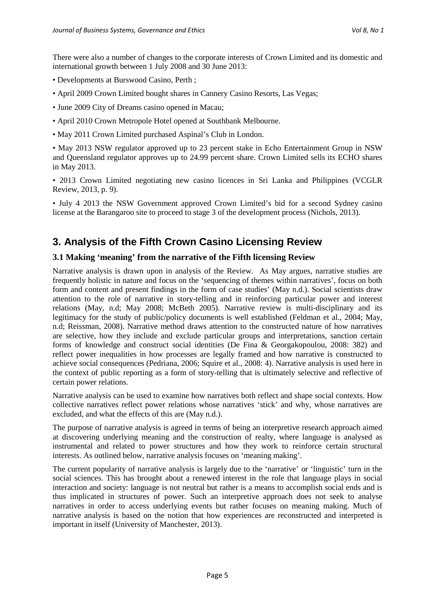There were also a number of changes to the corporate interests of Crown Limited and its domestic and international growth between 1 July 2008 and 30 June 2013:

- Developments at Burswood Casino, Perth ;
- April 2009 Crown Limited bought shares in Cannery Casino Resorts, Las Vegas;
- June 2009 City of Dreams casino opened in Macau;
- April 2010 Crown Metropole Hotel opened at Southbank Melbourne.
- May 2011 Crown Limited purchased Aspinal's Club in London.

• May 2013 NSW regulator approved up to 23 percent stake in Echo Entertainment Group in NSW and Queensland regulator approves up to 24.99 percent share. Crown Limited sells its ECHO shares in May 2013.

• 2013 Crown Limited negotiating new casino licences in Sri Lanka and Philippines (VCGLR Review, 2013, p. 9).

• July 4 2013 the NSW Government approved Crown Limited's bid for a second Sydney casino license at the Barangaroo site to proceed to stage 3 of the development process (Nichols, 2013).

# **3. Analysis of the Fifth Crown Casino Licensing Review**

### **3.1 Making 'meaning' from the narrative of the Fifth licensing Review**

Narrative analysis is drawn upon in analysis of the Review. As May argues, narrative studies are frequently holistic in nature and focus on the 'sequencing of themes within narratives', focus on both form and content and present findings in the form of case studies' (May n.d.). Social scientists draw attention to the role of narrative in story-telling and in reinforcing particular power and interest relations (May, n.d; May 2008; McBeth 2005). Narrative review is multi-disciplinary and its legitimacy for the study of public/policy documents is well established (Feldman et al., 2004; May, n.d; Reissman, 2008). Narrative method draws attention to the constructed nature of how narratives are selective, how they include and exclude particular groups and interpretations, sanction certain forms of knowledge and construct social identities (De Fina & Georgakopoulou, 2008: 382) and reflect power inequalities in how processes are legally framed and how narrative is constructed to achieve social consequences (Pedriana, 2006; Squire et al., 2008: 4). Narrative analysis is used here in the context of public reporting as a form of story-telling that is ultimately selective and reflective of certain power relations.

Narrative analysis can be used to examine how narratives both reflect and shape social contexts. How collective narratives reflect power relations whose narratives 'stick' and why, whose narratives are excluded, and what the effects of this are (May n.d.).

The purpose of narrative analysis is agreed in terms of being an interpretive research approach aimed at discovering underlying meaning and the construction of realty, where language is analysed as instrumental and related to power structures and how they work to reinforce certain structural interests. As outlined below, narrative analysis focuses on 'meaning making'.

The current popularity of narrative analysis is largely due to the 'narrative' or 'linguistic' turn in the social sciences. This has brought about a renewed interest in the role that language plays in social interaction and society: language is not neutral but rather is a means to accomplish social ends and is thus implicated in structures of power. Such an interpretive approach does not seek to analyse narratives in order to access underlying events but rather focuses on meaning making. Much of narrative analysis is based on the notion that how experiences are reconstructed and interpreted is important in itself (University of Manchester, 2013).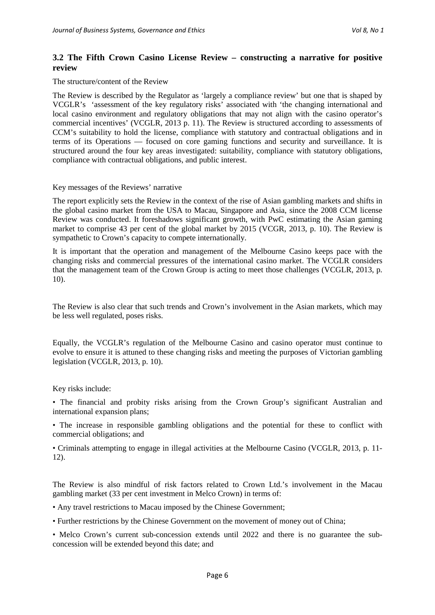#### **3.2 The Fifth Crown Casino License Review – constructing a narrative for positive review**

The structure/content of the Review

The Review is described by the Regulator as 'largely a compliance review' but one that is shaped by VCGLR's 'assessment of the key regulatory risks' associated with 'the changing international and local casino environment and regulatory obligations that may not align with the casino operator's commercial incentives' (VCGLR, 2013 p. 11). The Review is structured according to assessments of CCM's suitability to hold the license, compliance with statutory and contractual obligations and in terms of its Operations — focused on core gaming functions and security and surveillance. It is structured around the four key areas investigated: suitability, compliance with statutory obligations, compliance with contractual obligations, and public interest.

#### Key messages of the Reviews' narrative

The report explicitly sets the Review in the context of the rise of Asian gambling markets and shifts in the global casino market from the USA to Macau, Singapore and Asia, since the 2008 CCM license Review was conducted. It foreshadows significant growth, with PwC estimating the Asian gaming market to comprise 43 per cent of the global market by 2015 (VCGR, 2013, p. 10). The Review is sympathetic to Crown's capacity to compete internationally.

It is important that the operation and management of the Melbourne Casino keeps pace with the changing risks and commercial pressures of the international casino market. The VCGLR considers that the management team of the Crown Group is acting to meet those challenges (VCGLR, 2013, p. 10).

The Review is also clear that such trends and Crown's involvement in the Asian markets, which may be less well regulated, poses risks.

Equally, the VCGLR's regulation of the Melbourne Casino and casino operator must continue to evolve to ensure it is attuned to these changing risks and meeting the purposes of Victorian gambling legislation (VCGLR, 2013, p. 10).

Key risks include:

• The financial and probity risks arising from the Crown Group's significant Australian and international expansion plans;

• The increase in responsible gambling obligations and the potential for these to conflict with commercial obligations; and

• Criminals attempting to engage in illegal activities at the Melbourne Casino (VCGLR, 2013, p. 11- 12).

The Review is also mindful of risk factors related to Crown Ltd.'s involvement in the Macau gambling market (33 per cent investment in Melco Crown) in terms of:

• Any travel restrictions to Macau imposed by the Chinese Government;

• Further restrictions by the Chinese Government on the movement of money out of China;

• Melco Crown's current sub-concession extends until 2022 and there is no guarantee the subconcession will be extended beyond this date; and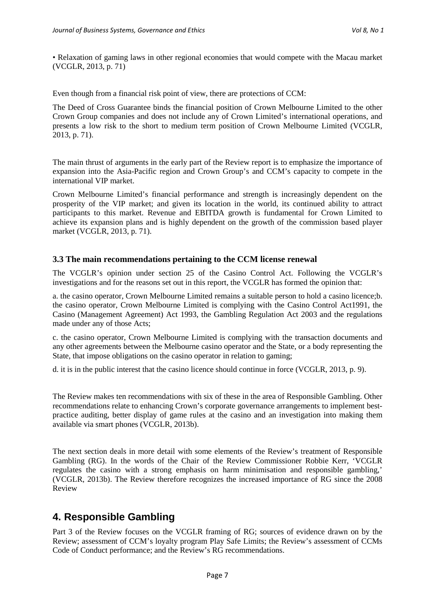• Relaxation of gaming laws in other regional economies that would compete with the Macau market (VCGLR, 2013, p. 71)

Even though from a financial risk point of view, there are protections of CCM:

The Deed of Cross Guarantee binds the financial position of Crown Melbourne Limited to the other Crown Group companies and does not include any of Crown Limited's international operations, and presents a low risk to the short to medium term position of Crown Melbourne Limited (VCGLR, 2013, p. 71).

The main thrust of arguments in the early part of the Review report is to emphasize the importance of expansion into the Asia-Pacific region and Crown Group's and CCM's capacity to compete in the international VIP market.

Crown Melbourne Limited's financial performance and strength is increasingly dependent on the prosperity of the VIP market; and given its location in the world, its continued ability to attract participants to this market. Revenue and EBITDA growth is fundamental for Crown Limited to achieve its expansion plans and is highly dependent on the growth of the commission based player market (VCGLR, 2013, p. 71).

#### **3.3 The main recommendations pertaining to the CCM license renewal**

The VCGLR's opinion under section 25 of the Casino Control Act. Following the VCGLR's investigations and for the reasons set out in this report, the VCGLR has formed the opinion that:

a. the casino operator, Crown Melbourne Limited remains a suitable person to hold a casino licence;b. the casino operator, Crown Melbourne Limited is complying with the Casino Control Act1991, the Casino (Management Agreement) Act 1993, the Gambling Regulation Act 2003 and the regulations made under any of those Acts;

c. the casino operator, Crown Melbourne Limited is complying with the transaction documents and any other agreements between the Melbourne casino operator and the State, or a body representing the State, that impose obligations on the casino operator in relation to gaming;

d. it is in the public interest that the casino licence should continue in force (VCGLR, 2013, p. 9).

The Review makes ten recommendations with six of these in the area of Responsible Gambling. Other recommendations relate to enhancing Crown's corporate governance arrangements to implement bestpractice auditing, better display of game rules at the casino and an investigation into making them available via smart phones (VCGLR, 2013b).

The next section deals in more detail with some elements of the Review's treatment of Responsible Gambling (RG). In the words of the Chair of the Review Commissioner Robbie Kerr, 'VCGLR regulates the casino with a strong emphasis on harm minimisation and responsible gambling,' (VCGLR, 2013b). The Review therefore recognizes the increased importance of RG since the 2008 Review

### **4. Responsible Gambling**

Part 3 of the Review focuses on the VCGLR framing of RG; sources of evidence drawn on by the Review; assessment of CCM's loyalty program Play Safe Limits; the Review's assessment of CCMs Code of Conduct performance; and the Review's RG recommendations.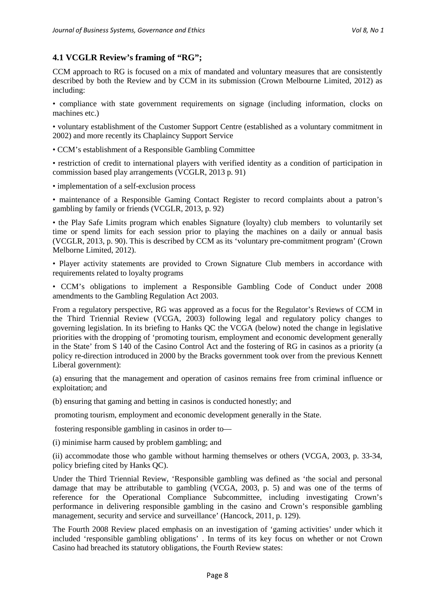### **4.1 VCGLR Review's framing of "RG";**

CCM approach to RG is focused on a mix of mandated and voluntary measures that are consistently described by both the Review and by CCM in its submission (Crown Melbourne Limited, 2012) as including:

• compliance with state government requirements on signage (including information, clocks on machines etc.)

• voluntary establishment of the Customer Support Centre (established as a voluntary commitment in 2002) and more recently its Chaplaincy Support Service

• CCM's establishment of a Responsible Gambling Committee

• restriction of credit to international players with verified identity as a condition of participation in commission based play arrangements (VCGLR, 2013 p. 91)

• implementation of a self-exclusion process

• maintenance of a Responsible Gaming Contact Register to record complaints about a patron's gambling by family or friends (VCGLR, 2013, p. 92)

• the Play Safe Limits program which enables Signature (loyalty) club members to voluntarily set time or spend limits for each session prior to playing the machines on a daily or annual basis (VCGLR, 2013, p. 90). This is described by CCM as its 'voluntary pre-commitment program' (Crown Melborne Limited, 2012).

• Player activity statements are provided to Crown Signature Club members in accordance with requirements related to loyalty programs

• CCM's obligations to implement a Responsible Gambling Code of Conduct under 2008 amendments to the Gambling Regulation Act 2003.

From a regulatory perspective, RG was approved as a focus for the Regulator's Reviews of CCM in the Third Triennial Review (VCGA, 2003) following legal and regulatory policy changes to governing legislation. In its briefing to Hanks QC the VCGA (below) noted the change in legislative priorities with the dropping of 'promoting tourism, employment and economic development generally in the State' from S 140 of the Casino Control Act and the fostering of RG in casinos as a priority (a policy re-direction introduced in 2000 by the Bracks government took over from the previous Kennett Liberal government):

(a) ensuring that the management and operation of casinos remains free from criminal influence or exploitation; and

(b) ensuring that gaming and betting in casinos is conducted honestly; and

promoting tourism, employment and economic development generally in the State.

fostering responsible gambling in casinos in order to—

(i) minimise harm caused by problem gambling; and

(ii) accommodate those who gamble without harming themselves or others (VCGA, 2003, p. 33-34, policy briefing cited by Hanks QC).

Under the Third Triennial Review, 'Responsible gambling was defined as 'the social and personal damage that may be attributable to gambling (VCGA, 2003, p. 5) and was one of the terms of reference for the Operational Compliance Subcommittee, including investigating Crown's performance in delivering responsible gambling in the casino and Crown's responsible gambling management, security and service and surveillance' (Hancock, 2011, p. 129).

The Fourth 2008 Review placed emphasis on an investigation of 'gaming activities' under which it included 'responsible gambling obligations' . In terms of its key focus on whether or not Crown Casino had breached its statutory obligations, the Fourth Review states: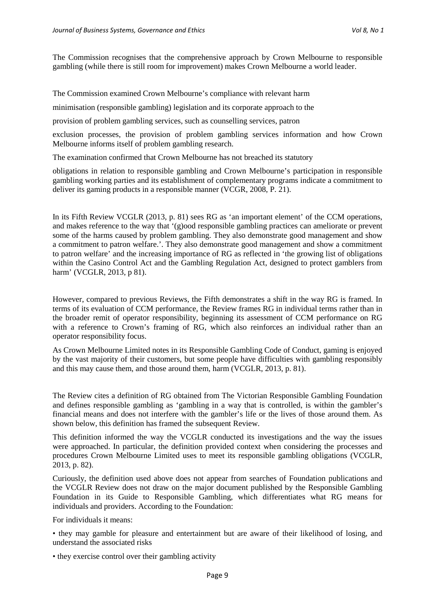The Commission recognises that the comprehensive approach by Crown Melbourne to responsible gambling (while there is still room for improvement) makes Crown Melbourne a world leader.

The Commission examined Crown Melbourne's compliance with relevant harm

minimisation (responsible gambling) legislation and its corporate approach to the

provision of problem gambling services, such as counselling services, patron

exclusion processes, the provision of problem gambling services information and how Crown Melbourne informs itself of problem gambling research.

The examination confirmed that Crown Melbourne has not breached its statutory

obligations in relation to responsible gambling and Crown Melbourne's participation in responsible gambling working parties and its establishment of complementary programs indicate a commitment to deliver its gaming products in a responsible manner (VCGR, 2008, P. 21).

In its Fifth Review VCGLR (2013, p. 81) sees RG as 'an important element' of the CCM operations, and makes reference to the way that '(g)ood responsible gambling practices can ameliorate or prevent some of the harms caused by problem gambling. They also demonstrate good management and show a commitment to patron welfare.'. They also demonstrate good management and show a commitment to patron welfare' and the increasing importance of RG as reflected in 'the growing list of obligations within the Casino Control Act and the Gambling Regulation Act, designed to protect gamblers from harm' (VCGLR, 2013, p 81).

However, compared to previous Reviews, the Fifth demonstrates a shift in the way RG is framed. In terms of its evaluation of CCM performance, the Review frames RG in individual terms rather than in the broader remit of operator responsibility, beginning its assessment of CCM performance on RG with a reference to Crown's framing of RG, which also reinforces an individual rather than an operator responsibility focus.

As Crown Melbourne Limited notes in its Responsible Gambling Code of Conduct, gaming is enjoyed by the vast majority of their customers, but some people have difficulties with gambling responsibly and this may cause them, and those around them, harm (VCGLR, 2013, p. 81).

The Review cites a definition of RG obtained from The Victorian Responsible Gambling Foundation and defines responsible gambling as 'gambling in a way that is controlled, is within the gambler's financial means and does not interfere with the gambler's life or the lives of those around them. As shown below, this definition has framed the subsequent Review.

This definition informed the way the VCGLR conducted its investigations and the way the issues were approached. In particular, the definition provided context when considering the processes and procedures Crown Melbourne Limited uses to meet its responsible gambling obligations (VCGLR, 2013, p. 82).

Curiously, the definition used above does not appear from searches of Foundation publications and the VCGLR Review does not draw on the major document published by the Responsible Gambling Foundation in its Guide to Responsible Gambling, which differentiates what RG means for individuals and providers. According to the Foundation:

For individuals it means:

• they may gamble for pleasure and entertainment but are aware of their likelihood of losing, and understand the associated risks

• they exercise control over their gambling activity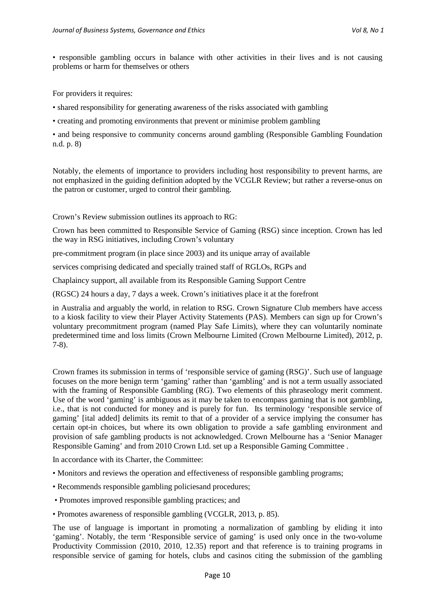• responsible gambling occurs in balance with other activities in their lives and is not causing problems or harm for themselves or others

For providers it requires:

• shared responsibility for generating awareness of the risks associated with gambling

• creating and promoting environments that prevent or minimise problem gambling

• and being responsive to community concerns around gambling (Responsible Gambling Foundation n.d. p. 8)

Notably, the elements of importance to providers including host responsibility to prevent harms, are not emphasized in the guiding definition adopted by the VCGLR Review; but rather a reverse-onus on the patron or customer, urged to control their gambling.

Crown's Review submission outlines its approach to RG:

Crown has been committed to Responsible Service of Gaming (RSG) since inception. Crown has led the way in RSG initiatives, including Crown's voluntary

pre-commitment program (in place since 2003) and its unique array of available

services comprising dedicated and specially trained staff of RGLOs, RGPs and

Chaplaincy support, all available from its Responsible Gaming Support Centre

(RGSC) 24 hours a day, 7 days a week. Crown's initiatives place it at the forefront

in Australia and arguably the world, in relation to RSG. Crown Signature Club members have access to a kiosk facility to view their Player Activity Statements (PAS). Members can sign up for Crown's voluntary precommitment program (named Play Safe Limits), where they can voluntarily nominate predetermined time and loss limits (Crown Melbourne Limited (Crown Melbourne Limited), 2012, p. 7-8).

Crown frames its submission in terms of 'responsible service of gaming (RSG)'. Such use of language focuses on the more benign term 'gaming' rather than 'gambling' and is not a term usually associated with the framing of Responsible Gambling (RG). Two elements of this phraseology merit comment. Use of the word 'gaming' is ambiguous as it may be taken to encompass gaming that is not gambling, i.e., that is not conducted for money and is purely for fun. Its terminology 'responsible service of gaming' [ital added] delimits its remit to that of a provider of a service implying the consumer has certain opt-in choices, but where its own obligation to provide a safe gambling environment and provision of safe gambling products is not acknowledged. Crown Melbourne has a 'Senior Manager Responsible Gaming' and from 2010 Crown Ltd. set up a Responsible Gaming Committee .

In accordance with its Charter, the Committee:

- Monitors and reviews the operation and effectiveness of responsible gambling programs;
- Recommends responsible gambling policiesand procedures;
- Promotes improved responsible gambling practices; and
- Promotes awareness of responsible gambling (VCGLR, 2013, p. 85).

The use of language is important in promoting a normalization of gambling by eliding it into 'gaming'. Notably, the term 'Responsible service of gaming' is used only once in the two-volume Productivity Commission (2010, 2010, 12.35) report and that reference is to training programs in responsible service of gaming for hotels, clubs and casinos citing the submission of the gambling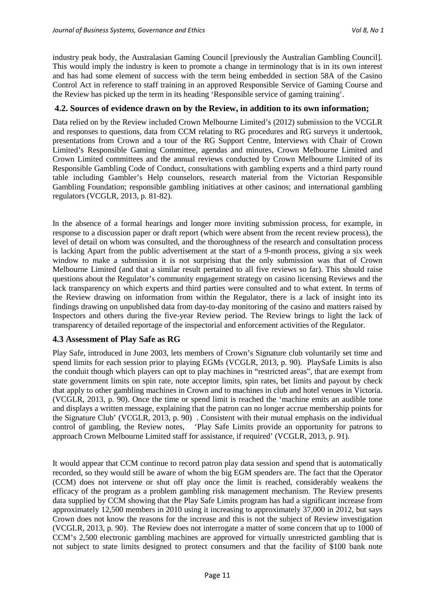industry peak body, the Australasian Gaming Council [previously the Australian Gambling Council]. This would imply the industry is keen to promote a change in terminology that is in its own interest and has had some element of success with the term being embedded in section 58A of the Casino Control Act in reference to staff training in an approved Responsible Service of Gaming Course and the Review has picked up the term in its heading 'Responsible service of gaming training'.

#### **4.2. Sources of evidence drawn on by the Review, in addition to its own information;**

Data relied on by the Review included Crown Melbourne Limited's (2012) submission to the VCGLR and responses to questions, data from CCM relating to RG procedures and RG surveys it undertook, presentations from Crown and a tour of the RG Support Centre, Interviews with Chair of Crown Limited's Responsible Gaming Committee, agendas and minutes, Crown Melbourne Limited and Crown Limited committees and the annual reviews conducted by Crown Melbourne Limited of its Responsible Gambling Code of Conduct, consultations with gambling experts and a third party round table including Gambler's Help counselors, research material from the Victorian Responsible Gambling Foundation; responsible gambling initiatives at other casinos; and international gambling regulators (VCGLR, 2013, p. 81-82).

In the absence of a formal hearings and longer more inviting submission process, for example, in response to a discussion paper or draft report (which were absent from the recent review process), the level of detail on whom was consulted, and the thoroughness of the research and consultation process is lacking Apart from the public advertisement at the start of a 9-month process, giving a six week window to make a submission it is not surprising that the only submission was that of Crown Melbourne Limited (and that a similar result pertained to all five reviews so far). This should raise questions about the Regulator's community engagement strategy on casino licensing Reviews and the lack transparency on which experts and third parties were consulted and to what extent. In terms of the Review drawing on information from within the Regulator, there is a lack of insight into its findings drawing on unpublished data from day-to-day monitoring of the casino and matters raised by Inspectors and others during the five-year Review period. The Review brings to light the lack of transparency of detailed reportage of the inspectorial and enforcement activities of the Regulator.

#### **4.3 Assessment of Play Safe as RG**

Play Safe, introduced in June 2003, lets members of Crown's Signature club voluntarily set time and spend limits for each session prior to playing EGMs (VCGLR, 2013, p. 90). PlaySafe Limits is also the conduit though which players can opt to play machines in "restricted areas", that are exempt from state government limits on spin rate, note acceptor limits, spin rates, bet limits and payout by check that apply to other gambling machines in Crown and to machines in club and hotel venues in Victoria. (VCGLR, 2013, p. 90). Once the time or spend limit is reached the 'machine emits an audible tone and displays a written message, explaining that the patron can no longer accrue membership points for the Signature Club' (VCGLR, 2013, p. 90) . Consistent with their mutual emphasis on the individual control of gambling, the Review notes, 'Play Safe Limits provide an opportunity for patrons to approach Crown Melbourne Limited staff for assistance, if required' (VCGLR, 2013, p. 91).

It would appear that CCM continue to record patron play data session and spend that is automatically recorded, so they would still be aware of whom the big EGM spenders are. The fact that the Operator (CCM) does not intervene or shut off play once the limit is reached, considerably weakens the efficacy of the program as a problem gambling risk management mechanism. The Review presents data supplied by CCM showing that the Play Safe Limits program has had a significant increase from approximately 12,500 members in 2010 using it increasing to approximately 37,000 in 2012, but says Crown does not know the reasons for the increase and this is not the subject of Review investigation (VCGLR, 2013, p. 90). The Review does not interrogate a matter of some concern that up to 1000 of CCM's 2,500 electronic gambling machines are approved for virtually unrestricted gambling that is not subject to state limits designed to protect consumers and that the facility of \$100 bank note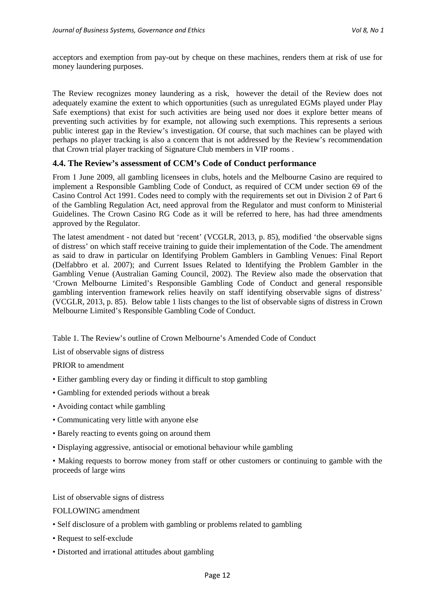acceptors and exemption from pay-out by cheque on these machines, renders them at risk of use for money laundering purposes.

The Review recognizes money laundering as a risk, however the detail of the Review does not adequately examine the extent to which opportunities (such as unregulated EGMs played under Play Safe exemptions) that exist for such activities are being used nor does it explore better means of preventing such activities by for example, not allowing such exemptions. This represents a serious public interest gap in the Review's investigation. Of course, that such machines can be played with perhaps no player tracking is also a concern that is not addressed by the Review's recommendation that Crown trial player tracking of Signature Club members in VIP rooms .

#### **4.4. The Review's assessment of CCM's Code of Conduct performance**

From 1 June 2009, all gambling licensees in clubs, hotels and the Melbourne Casino are required to implement a Responsible Gambling Code of Conduct, as required of CCM under section 69 of the Casino Control Act 1991. Codes need to comply with the requirements set out in Division 2 of Part 6 of the Gambling Regulation Act, need approval from the Regulator and must conform to Ministerial Guidelines. The Crown Casino RG Code as it will be referred to here, has had three amendments approved by the Regulator.

The latest amendment - not dated but 'recent' (VCGLR, 2013, p. 85), modified 'the observable signs of distress' on which staff receive training to guide their implementation of the Code. The amendment as said to draw in particular on Identifying Problem Gamblers in Gambling Venues: Final Report (Delfabbro et al. 2007); and Current Issues Related to Identifying the Problem Gambler in the Gambling Venue (Australian Gaming Council, 2002). The Review also made the observation that 'Crown Melbourne Limited's Responsible Gambling Code of Conduct and general responsible gambling intervention framework relies heavily on staff identifying observable signs of distress' (VCGLR, 2013, p. 85). Below table 1 lists changes to the list of observable signs of distress in Crown Melbourne Limited's Responsible Gambling Code of Conduct.

Table 1. The Review's outline of Crown Melbourne's Amended Code of Conduct

List of observable signs of distress

PRIOR to amendment

- Either gambling every day or finding it difficult to stop gambling
- Gambling for extended periods without a break
- Avoiding contact while gambling
- Communicating very little with anyone else
- Barely reacting to events going on around them
- Displaying aggressive, antisocial or emotional behaviour while gambling

• Making requests to borrow money from staff or other customers or continuing to gamble with the proceeds of large wins

List of observable signs of distress

FOLLOWING amendment

- Self disclosure of a problem with gambling or problems related to gambling
- Request to self-exclude
- Distorted and irrational attitudes about gambling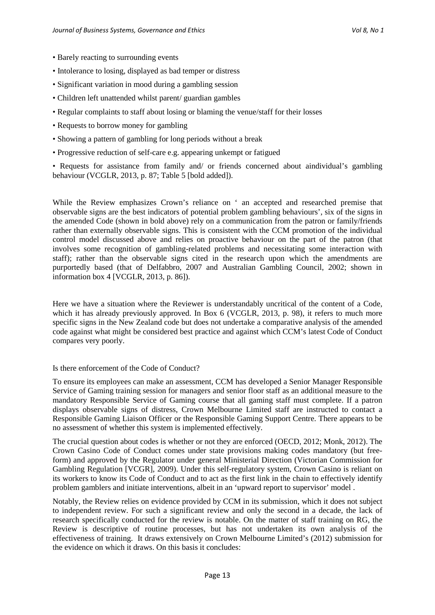- Barely reacting to surrounding events
- Intolerance to losing, displayed as bad temper or distress
- Significant variation in mood during a gambling session
- Children left unattended whilst parent/ guardian gambles
- Regular complaints to staff about losing or blaming the venue/staff for their losses
- Requests to borrow money for gambling
- Showing a pattern of gambling for long periods without a break
- Progressive reduction of self-care e.g. appearing unkempt or fatigued

• Requests for assistance from family and/ or friends concerned about aindividual's gambling behaviour (VCGLR, 2013, p. 87; Table 5 [bold added]).

While the Review emphasizes Crown's reliance on ' an accepted and researched premise that observable signs are the best indicators of potential problem gambling behaviours', six of the signs in the amended Code (shown in bold above) rely on a communication from the patron or family/friends rather than externally observable signs. This is consistent with the CCM promotion of the individual control model discussed above and relies on proactive behaviour on the part of the patron (that involves some recognition of gambling-related problems and necessitating some interaction with staff); rather than the observable signs cited in the research upon which the amendments are purportedly based (that of Delfabbro, 2007 and Australian Gambling Council, 2002; shown in information box 4 [VCGLR, 2013, p. 86]).

Here we have a situation where the Reviewer is understandably uncritical of the content of a Code, which it has already previously approved. In Box 6 (VCGLR, 2013, p. 98), it refers to much more specific signs in the New Zealand code but does not undertake a comparative analysis of the amended code against what might be considered best practice and against which CCM's latest Code of Conduct compares very poorly.

#### Is there enforcement of the Code of Conduct?

To ensure its employees can make an assessment, CCM has developed a Senior Manager Responsible Service of Gaming training session for managers and senior floor staff as an additional measure to the mandatory Responsible Service of Gaming course that all gaming staff must complete. If a patron displays observable signs of distress, Crown Melbourne Limited staff are instructed to contact a Responsible Gaming Liaison Officer or the Responsible Gaming Support Centre. There appears to be no assessment of whether this system is implemented effectively.

The crucial question about codes is whether or not they are enforced (OECD, 2012; Monk, 2012). The Crown Casino Code of Conduct comes under state provisions making codes mandatory (but freeform) and approved by the Regulator under general Ministerial Direction (Victorian Commission for Gambling Regulation [VCGR], 2009). Under this self-regulatory system, Crown Casino is reliant on its workers to know its Code of Conduct and to act as the first link in the chain to effectively identify problem gamblers and initiate interventions, albeit in an 'upward report to supervisor' model .

Notably, the Review relies on evidence provided by CCM in its submission, which it does not subject to independent review. For such a significant review and only the second in a decade, the lack of research specifically conducted for the review is notable. On the matter of staff training on RG, the Review is descriptive of routine processes, but has not undertaken its own analysis of the effectiveness of training. It draws extensively on Crown Melbourne Limited's (2012) submission for the evidence on which it draws. On this basis it concludes: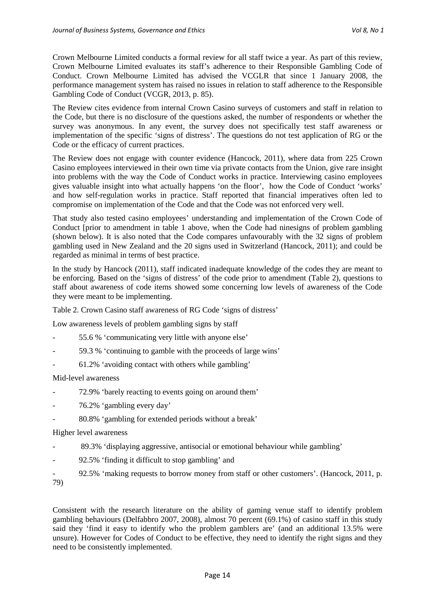Crown Melbourne Limited conducts a formal review for all staff twice a year. As part of this review, Crown Melbourne Limited evaluates its staff's adherence to their Responsible Gambling Code of Conduct. Crown Melbourne Limited has advised the VCGLR that since 1 January 2008, the performance management system has raised no issues in relation to staff adherence to the Responsible Gambling Code of Conduct (VCGR, 2013, p. 85).

The Review cites evidence from internal Crown Casino surveys of customers and staff in relation to the Code, but there is no disclosure of the questions asked, the number of respondents or whether the survey was anonymous. In any event, the survey does not specifically test staff awareness or implementation of the specific 'signs of distress'. The questions do not test application of RG or the Code or the efficacy of current practices.

The Review does not engage with counter evidence (Hancock, 2011), where data from 225 Crown Casino employees interviewed in their own time via private contacts from the Union, give rare insight into problems with the way the Code of Conduct works in practice. Interviewing casino employees gives valuable insight into what actually happens 'on the floor', how the Code of Conduct 'works' and how self-regulation works in practice. Staff reported that financial imperatives often led to compromise on implementation of the Code and that the Code was not enforced very well.

That study also tested casino employees' understanding and implementation of the Crown Code of Conduct [prior to amendment in table 1 above, when the Code had ninesigns of problem gambling (shown below). It is also noted that the Code compares unfavourably with the 32 signs of problem gambling used in New Zealand and the 20 signs used in Switzerland (Hancock, 2011); and could be regarded as minimal in terms of best practice.

In the study by Hancock (2011), staff indicated inadequate knowledge of the codes they are meant to be enforcing. Based on the 'signs of distress' of the code prior to amendment (Table 2), questions to staff about awareness of code items showed some concerning low levels of awareness of the Code they were meant to be implementing.

Table 2. Crown Casino staff awareness of RG Code 'signs of distress'

Low awareness levels of problem gambling signs by staff

- 55.6 % 'communicating very little with anyone else'
- 59.3 % 'continuing to gamble with the proceeds of large wins'
- 61.2% 'avoiding contact with others while gambling'

Mid-level awareness

- 72.9% 'barely reacting to events going on around them'
- 76.2% 'gambling every day'
- 80.8% 'gambling for extended periods without a break'

Higher level awareness

- 89.3% 'displaying aggressive, antisocial or emotional behaviour while gambling'
- 92.5% 'finding it difficult to stop gambling' and
- 92.5% 'making requests to borrow money from staff or other customers'. (Hancock, 2011, p. 79)

Consistent with the research literature on the ability of gaming venue staff to identify problem gambling behaviours (Delfabbro 2007, 2008), almost 70 percent (69.1%) of casino staff in this study said they 'find it easy to identify who the problem gamblers are' (and an additional 13.5% were unsure). However for Codes of Conduct to be effective, they need to identify the right signs and they need to be consistently implemented.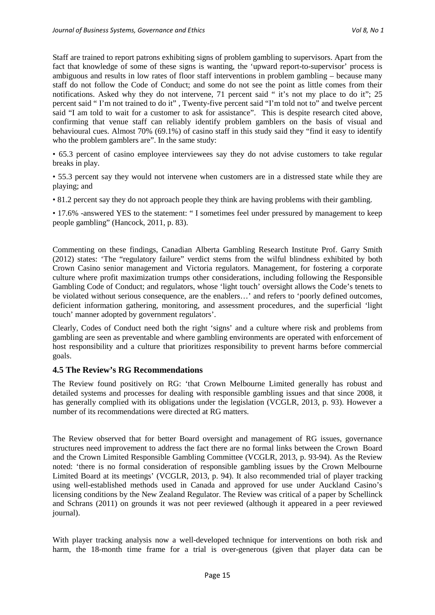Staff are trained to report patrons exhibiting signs of problem gambling to supervisors. Apart from the fact that knowledge of some of these signs is wanting, the 'upward report-to-supervisor' process is ambiguous and results in low rates of floor staff interventions in problem gambling – because many staff do not follow the Code of Conduct; and some do not see the point as little comes from their notifications. Asked why they do not intervene, 71 percent said " it's not my place to do it"; 25 percent said " I'm not trained to do it" , Twenty-five percent said "I'm told not to" and twelve percent said "I am told to wait for a customer to ask for assistance". This is despite research cited above, confirming that venue staff can reliably identify problem gamblers on the basis of visual and behavioural cues. Almost 70% (69.1%) of casino staff in this study said they "find it easy to identify who the problem gamblers are". In the same study:

• 65.3 percent of casino employee interviewees say they do not advise customers to take regular breaks in play.

• 55.3 percent say they would not intervene when customers are in a distressed state while they are playing; and

• 81.2 percent say they do not approach people they think are having problems with their gambling.

• 17.6% -answered YES to the statement: "I sometimes feel under pressured by management to keep people gambling" (Hancock, 2011, p. 83).

Commenting on these findings, Canadian Alberta Gambling Research Institute Prof. Garry Smith (2012) states: 'The "regulatory failure" verdict stems from the wilful blindness exhibited by both Crown Casino senior management and Victoria regulators. Management, for fostering a corporate culture where profit maximization trumps other considerations, including following the Responsible Gambling Code of Conduct; and regulators, whose 'light touch' oversight allows the Code's tenets to be violated without serious consequence, are the enablers…' and refers to 'poorly defined outcomes, deficient information gathering, monitoring, and assessment procedures, and the superficial 'light touch' manner adopted by government regulators'.

Clearly, Codes of Conduct need both the right 'signs' and a culture where risk and problems from gambling are seen as preventable and where gambling environments are operated with enforcement of host responsibility and a culture that prioritizes responsibility to prevent harms before commercial goals.

#### **4.5 The Review's RG Recommendations**

The Review found positively on RG: 'that Crown Melbourne Limited generally has robust and detailed systems and processes for dealing with responsible gambling issues and that since 2008, it has generally complied with its obligations under the legislation (VCGLR, 2013, p. 93). However a number of its recommendations were directed at RG matters.

The Review observed that for better Board oversight and management of RG issues, governance structures need improvement to address the fact there are no formal links between the Crown Board and the Crown Limited Responsible Gambling Committee (VCGLR, 2013, p. 93-94). As the Review noted: 'there is no formal consideration of responsible gambling issues by the Crown Melbourne Limited Board at its meetings' (VCGLR, 2013, p. 94). It also recommended trial of player tracking using well-established methods used in Canada and approved for use under Auckland Casino's licensing conditions by the New Zealand Regulator. The Review was critical of a paper by Schellinck and Schrans (2011) on grounds it was not peer reviewed (although it appeared in a peer reviewed journal).

With player tracking analysis now a well-developed technique for interventions on both risk and harm, the 18-month time frame for a trial is over-generous (given that player data can be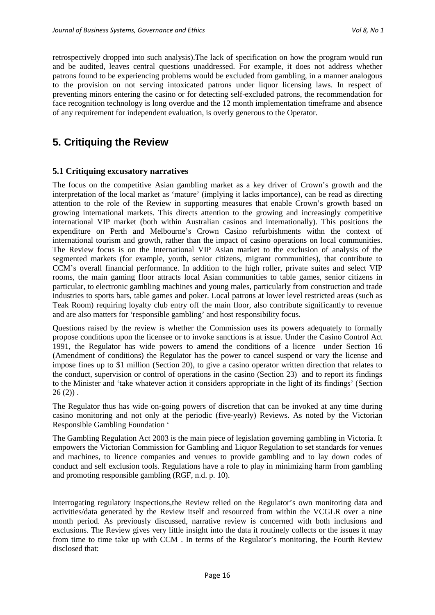retrospectively dropped into such analysis).The lack of specification on how the program would run and be audited, leaves central questions unaddressed. For example, it does not address whether patrons found to be experiencing problems would be excluded from gambling, in a manner analogous to the provision on not serving intoxicated patrons under liquor licensing laws. In respect of preventing minors entering the casino or for detecting self-excluded patrons, the recommendation for face recognition technology is long overdue and the 12 month implementation timeframe and absence of any requirement for independent evaluation, is overly generous to the Operator.

## **5. Critiquing the Review**

#### **5.1 Critiquing excusatory narratives**

The focus on the competitive Asian gambling market as a key driver of Crown's growth and the interpretation of the local market as 'mature' (implying it lacks importance), can be read as directing attention to the role of the Review in supporting measures that enable Crown's growth based on growing international markets. This directs attention to the growing and increasingly competitive international VIP market (both within Australian casinos and internationally). This positions the expenditure on Perth and Melbourne's Crown Casino refurbishments withn the context of international tourism and growth, rather than the impact of casino operations on local communities. The Review focus is on the International VIP Asian market to the exclusion of analysis of the segmented markets (for example, youth, senior citizens, migrant communities), that contribute to CCM's overall financial performance. In addition to the high roller, private suites and select VIP rooms, the main gaming floor attracts local Asian communities to table games, senior citizens in particular, to electronic gambling machines and young males, particularly from construction and trade industries to sports bars, table games and poker. Local patrons at lower level restricted areas (such as Teak Room) requiring loyalty club entry off the main floor, also contribute significantly to revenue and are also matters for 'responsible gambling' and host responsibility focus.

Questions raised by the review is whether the Commission uses its powers adequately to formally propose conditions upon the licensee or to invoke sanctions is at issue. Under the Casino Control Act 1991, the Regulator has wide powers to amend the conditions of a licence under Section 16 (Amendment of conditions) the Regulator has the power to cancel suspend or vary the license and impose fines up to \$1 million (Section 20), to give a casino operator written direction that relates to the conduct, supervision or control of operations in the casino (Section 23) and to report its findings to the Minister and 'take whatever action it considers appropriate in the light of its findings' (Section  $26(2)$ .

The Regulator thus has wide on-going powers of discretion that can be invoked at any time during casino monitoring and not only at the periodic (five-yearly) Reviews. As noted by the Victorian Responsible Gambling Foundation '

The Gambling Regulation Act 2003 is the main piece of legislation governing gambling in Victoria. It empowers the Victorian Commission for Gambling and Liquor Regulation to set standards for venues and machines, to licence companies and venues to provide gambling and to lay down codes of conduct and self exclusion tools. Regulations have a role to play in minimizing harm from gambling and promoting responsible gambling (RGF, n.d. p. 10).

Interrogating regulatory inspections,the Review relied on the Regulator's own monitoring data and activities/data generated by the Review itself and resourced from within the VCGLR over a nine month period. As previously discussed, narrative review is concerned with both inclusions and exclusions. The Review gives very little insight into the data it routinely collects or the issues it may from time to time take up with CCM . In terms of the Regulator's monitoring, the Fourth Review disclosed that: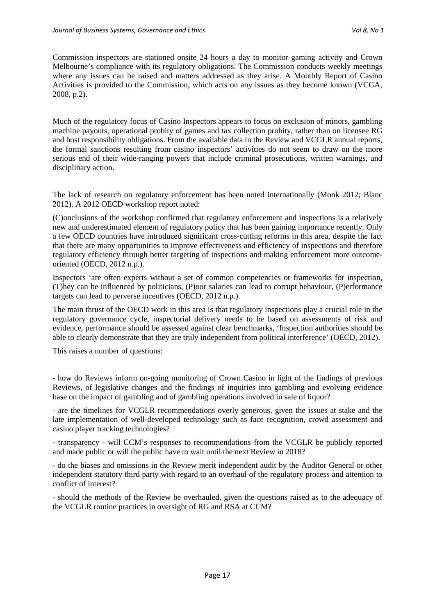Commission inspectors are stationed onsite 24 hours a day to monitor gaming activity and Crown Melbourne's compliance with its regulatory obligations. The Commission conducts weekly meetings where any issues can be raised and matters addressed as they arise. A Monthly Report of Casino Activities is provided to the Commission, which acts on any issues as they become known (VCGA, 2008, p.2).

Much of the regulatory focus of Casino Inspectors appears to focus on exclusion of minors, gambling machine payouts, operational probity of games and tax collection probity, rather than on licensee RG and host responsibility obligations. From the available data in the Review and VCGLR annual reports, the formal sanctions resulting from casino inspectors' activities do not seem to draw on the more serious end of their wide-ranging powers that include criminal prosecutions, written warnings, and disciplinary action.

The lack of research on regulatory enforcement has been noted internationally (Monk 2012; Blanc 2012). A 2012 OECD workshop report noted:

(C)onclusions of the workshop confirmed that regulatory enforcement and inspections is a relatively new and underestimated element of regulatory policy that has been gaining importance recently. Only a few OECD countries have introduced significant cross-cutting reforms in this area, despite the fact that there are many opportunities to improve effectiveness and efficiency of inspections and therefore regulatory efficiency through better targeting of inspections and making enforcement more outcomeoriented (OECD, 2012 n.p.).

Inspectors 'are often experts without a set of common competencies or frameworks for inspection, (T)hey can be influenced by politicians, (P)oor salaries can lead to corrupt behaviour, (P)erformance targets can lead to perverse incentives (OECD, 2012 n.p.).

The main thrust of the OECD work in this area is that regulatory inspections play a crucial role in the regulatory governance cycle, inspectorial delivery needs to be based on assessments of risk and evidence, performance should be assessed against clear benchmarks, 'Inspection authorities should be able to clearly demonstrate that they are truly independent from political interference' (OECD, 2012).

This raises a number of questions:

- how do Reviews inform on-going monitoring of Crown Casino in light of the findings of previous Reviews, of legislative changes and the findings of inquiries into gambling and evolving evidence base on the impact of gambling and of gambling operations involved in sale of liquor?

- are the timelines for VCGLR recommendations overly generous, given the issues at stake and the late implementation of well-developed technology such as face recognition, crowd assessment and casino player tracking technologies?

- transparency - will CCM's responses to recommendations from the VCGLR be publicly reported and made public or will the public have to wait until the next Review in 2018?

- do the biases and omissions in the Review merit independent audit by the Auditor General or other independent statutory third party with regard to an overhaul of the regulatory process and attention to conflict of interest?

- should the methods of the Review be overhauled, given the questions raised as to the adequacy of the VCGLR routine practices in oversight of RG and RSA at CCM?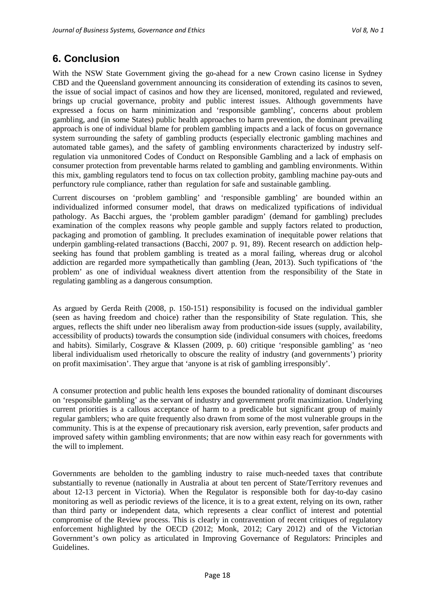# **6. Conclusion**

With the NSW State Government giving the go-ahead for a new Crown casino license in Sydney CBD and the Queensland government announcing its consideration of extending its casinos to seven, the issue of social impact of casinos and how they are licensed, monitored, regulated and reviewed, brings up crucial governance, probity and public interest issues. Although governments have expressed a focus on harm minimization and 'responsible gambling', concerns about problem gambling, and (in some States) public health approaches to harm prevention, the dominant prevailing approach is one of individual blame for problem gambling impacts and a lack of focus on governance system surrounding the safety of gambling products (especially electronic gambling machines and automated table games), and the safety of gambling environments characterized by industry selfregulation via unmonitored Codes of Conduct on Responsible Gambling and a lack of emphasis on consumer protection from preventable harms related to gambling and gambling environments. Within this mix, gambling regulators tend to focus on tax collection probity, gambling machine pay-outs and perfunctory rule compliance, rather than regulation for safe and sustainable gambling.

Current discourses on 'problem gambling' and 'responsible gambling' are bounded within an individualized informed consumer model, that draws on medicalized typifications of individual pathology. As Bacchi argues, the 'problem gambler paradigm' (demand for gambling) precludes examination of the complex reasons why people gamble and supply factors related to production, packaging and promotion of gambling. It precludes examination of inequitable power relations that underpin gambling-related transactions (Bacchi, 2007 p. 91, 89). Recent research on addiction helpseeking has found that problem gambling is treated as a moral failing, whereas drug or alcohol addiction are regarded more sympathetically than gambling (Jean, 2013). Such typifications of 'the problem' as one of individual weakness divert attention from the responsibility of the State in regulating gambling as a dangerous consumption.

As argued by Gerda Reith (2008, p. 150-151) responsibility is focused on the individual gambler (seen as having freedom and choice) rather than the responsibility of State regulation. This, she argues, reflects the shift under neo liberalism away from production-side issues (supply, availability, accessibility of products) towards the consumption side (individual consumers with choices, freedoms and habits). Similarly, Cosgrave & Klassen (2009, p. 60) critique 'responsible gambling' as 'neo liberal individualism used rhetorically to obscure the reality of industry (and governments') priority on profit maximisation'. They argue that 'anyone is at risk of gambling irresponsibly'.

A consumer protection and public health lens exposes the bounded rationality of dominant discourses on 'responsible gambling' as the servant of industry and government profit maximization. Underlying current priorities is a callous acceptance of harm to a predicable but significant group of mainly regular gamblers; who are quite frequently also drawn from some of the most vulnerable groups in the community. This is at the expense of precautionary risk aversion, early prevention, safer products and improved safety within gambling environments; that are now within easy reach for governments with the will to implement.

Governments are beholden to the gambling industry to raise much-needed taxes that contribute substantially to revenue (nationally in Australia at about ten percent of State/Territory revenues and about 12-13 percent in Victoria). When the Regulator is responsible both for day-to-day casino monitoring as well as periodic reviews of the licence, it is to a great extent, relying on its own, rather than third party or independent data, which represents a clear conflict of interest and potential compromise of the Review process. This is clearly in contravention of recent critiques of regulatory enforcement highlighted by the OECD (2012; Monk, 2012; Cary 2012) and of the Victorian Government's own policy as articulated in Improving Governance of Regulators: Principles and Guidelines.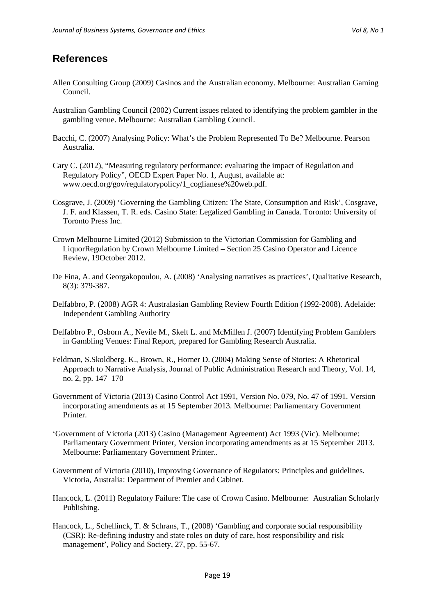### **References**

- Allen Consulting Group (2009) Casinos and the Australian economy. Melbourne: Australian Gaming Council.
- Australian Gambling Council (2002) Current issues related to identifying the problem gambler in the gambling venue. Melbourne: Australian Gambling Council.
- Bacchi, C. (2007) Analysing Policy: What's the Problem Represented To Be? Melbourne. Pearson Australia.
- Cary C. (2012), "Measuring regulatory performance: evaluating the impact of Regulation and Regulatory Policy", OECD Expert Paper No. 1, August, available at: www.oecd.org/gov/regulatorypolicy/1\_coglianese%20web.pdf.
- Cosgrave, J. (2009) 'Governing the Gambling Citizen: The State, Consumption and Risk', Cosgrave, J. F. and Klassen, T. R. eds. Casino State: Legalized Gambling in Canada. Toronto: University of Toronto Press Inc.
- Crown Melbourne Limited (2012) Submission to the Victorian Commission for Gambling and LiquorRegulation by Crown Melbourne Limited – Section 25 Casino Operator and Licence Review, 19October 2012.
- De Fina, A. and Georgakopoulou, A. (2008) 'Analysing narratives as practices', Qualitative Research, 8(3): 379-387.
- Delfabbro, P. (2008) AGR 4: Australasian Gambling Review Fourth Edition (1992-2008). Adelaide: Independent Gambling Authority
- Delfabbro P., Osborn A., Nevile M., Skelt L. and McMillen J. (2007) Identifying Problem Gamblers in Gambling Venues: Final Report, prepared for Gambling Research Australia.
- Feldman, S.Skoldberg. K., Brown, R., Horner D. (2004) Making Sense of Stories: A Rhetorical Approach to Narrative Analysis, Journal of Public Administration Research and Theory, Vol. 14, no. 2, pp. 147–170
- Government of Victoria (2013) Casino Control Act 1991, Version No. 079, No. 47 of 1991. Version incorporating amendments as at 15 September 2013. Melbourne: Parliamentary Government Printer.
- 'Government of Victoria (2013) Casino (Management Agreement) Act 1993 (Vic). Melbourne: Parliamentary Government Printer, Version incorporating amendments as at 15 September 2013. Melbourne: Parliamentary Government Printer..
- Government of Victoria (2010), Improving Governance of Regulators: Principles and guidelines. Victoria, Australia: Department of Premier and Cabinet.
- Hancock, L. (2011) Regulatory Failure: The case of Crown Casino. Melbourne: Australian Scholarly Publishing.
- Hancock, L., Schellinck, T. & Schrans, T., (2008) 'Gambling and corporate social responsibility (CSR): Re-defining industry and state roles on duty of care, host responsibility and risk management', Policy and Society, 27, pp. 55-67.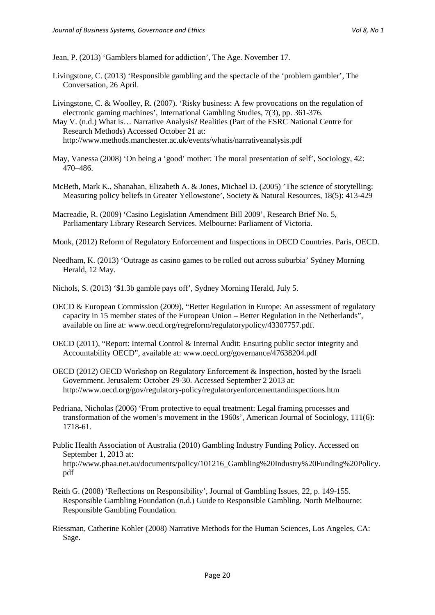Jean, P. (2013) 'Gamblers blamed for addiction', The Age. November 17.

- Livingstone, C. (2013) 'Responsible gambling and the spectacle of the 'problem gambler', The Conversation, 26 April.
- Livingstone, C. & Woolley, R. (2007). 'Risky business: A few provocations on the regulation of electronic gaming machines', International Gambling Studies, 7(3), pp. 361-376.

May V. (n.d.) What is… Narrative Analysis? Realities (Part of the ESRC National Centre for Research Methods) Accessed October 21 at: http://www.methods.manchester.ac.uk/events/whatis/narrativeanalysis.pdf

- May, Vanessa (2008) 'On being a 'good' mother: The moral presentation of self', Sociology, 42: 470–486.
- McBeth, Mark K., Shanahan, Elizabeth A. & Jones, Michael D. (2005) 'The science of storytelling: Measuring policy beliefs in Greater Yellowstone', Society & Natural Resources, 18(5): 413-429
- Macreadie, R. (2009) 'Casino Legislation Amendment Bill 2009', Research Brief No. 5, Parliamentary Library Research Services. Melbourne: Parliament of Victoria.
- Monk, (2012) Reform of Regulatory Enforcement and Inspections in OECD Countries. Paris, OECD.
- Needham, K. (2013) 'Outrage as casino games to be rolled out across suburbia' Sydney Morning Herald, 12 May.
- Nichols, S. (2013) '\$1.3b gamble pays off', Sydney Morning Herald, July 5.
- OECD & European Commission (2009), "Better Regulation in Europe: An assessment of regulatory capacity in 15 member states of the European Union – Better Regulation in the Netherlands", available on line at: www.oecd.org/regreform/regulatorypolicy/43307757.pdf.
- OECD (2011), "Report: Internal Control & Internal Audit: Ensuring public sector integrity and Accountability OECD", available at: www.oecd.org/governance/47638204.pdf
- OECD (2012) OECD Workshop on Regulatory Enforcement & Inspection, hosted by the Israeli Government. Jerusalem: October 29-30. Accessed September 2 2013 at: http://www.oecd.org/gov/regulatory-policy/regulatoryenforcementandinspections.htm
- Pedriana, Nicholas (2006) 'From protective to equal treatment: Legal framing processes and transformation of the women's movement in the 1960s', American Journal of Sociology, 111(6): 1718-61.
- Public Health Association of Australia (2010) Gambling Industry Funding Policy. Accessed on September 1, 2013 at: http://www.phaa.net.au/documents/policy/101216\_Gambling%20Industry%20Funding%20Policy. pdf
- Reith G. (2008) 'Reflections on Responsibility', Journal of Gambling Issues, 22, p. 149-155. Responsible Gambling Foundation (n.d.) Guide to Responsible Gambling. North Melbourne: Responsible Gambling Foundation.
- Riessman, Catherine Kohler (2008) Narrative Methods for the Human Sciences, Los Angeles, CA: Sage.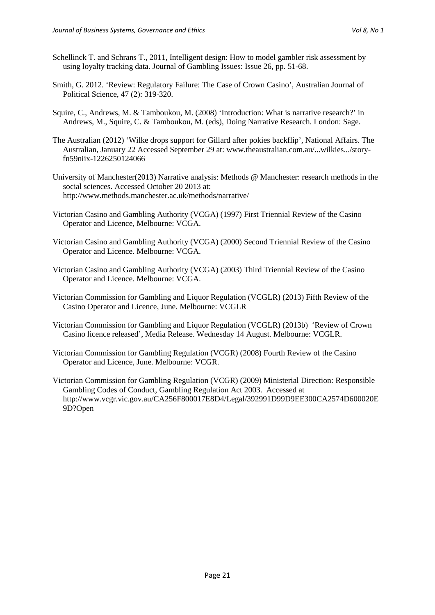- Schellinck T. and Schrans T., 2011, Intelligent design: How to model gambler risk assessment by using loyalty tracking data. Journal of Gambling Issues: Issue 26, pp. 51-68.
- Smith, G. 2012. 'Review: Regulatory Failure: The Case of Crown Casino', Australian Journal of Political Science, 47 (2): 319-320.
- Squire, C., Andrews, M. & Tamboukou, M. (2008) 'Introduction: What is narrative research?' in Andrews, M., Squire, C. & Tamboukou, M. (eds), Doing Narrative Research. London: Sage.
- The Australian (2012) 'Wilke drops support for Gillard after pokies backflip', National Affairs. The Australian, January 22 Accessed September 29 at: www.theaustralian.com.au/...wilkies.../storyfn59niix-1226250124066
- University of Manchester(2013) Narrative analysis: Methods @ Manchester: research methods in the social sciences. Accessed October 20 2013 at: http://www.methods.manchester.ac.uk/methods/narrative/
- Victorian Casino and Gambling Authority (VCGA) (1997) First Triennial Review of the Casino Operator and Licence, Melbourne: VCGA.
- Victorian Casino and Gambling Authority (VCGA) (2000) Second Triennial Review of the Casino Operator and Licence. Melbourne: VCGA.
- Victorian Casino and Gambling Authority (VCGA) (2003) Third Triennial Review of the Casino Operator and Licence. Melbourne: VCGA.
- Victorian Commission for Gambling and Liquor Regulation (VCGLR) (2013) Fifth Review of the Casino Operator and Licence, June. Melbourne: VCGLR
- Victorian Commission for Gambling and Liquor Regulation (VCGLR) (2013b) 'Review of Crown Casino licence released', Media Release. Wednesday 14 August. Melbourne: VCGLR.
- Victorian Commission for Gambling Regulation (VCGR) (2008) Fourth Review of the Casino Operator and Licence, June. Melbourne: VCGR.
- Victorian Commission for Gambling Regulation (VCGR) (2009) Ministerial Direction: Responsible Gambling Codes of Conduct, Gambling Regulation Act 2003. Accessed at http://www.vcgr.vic.gov.au/CA256F800017E8D4/Legal/392991D99D9EE300CA2574D600020E 9D?Open